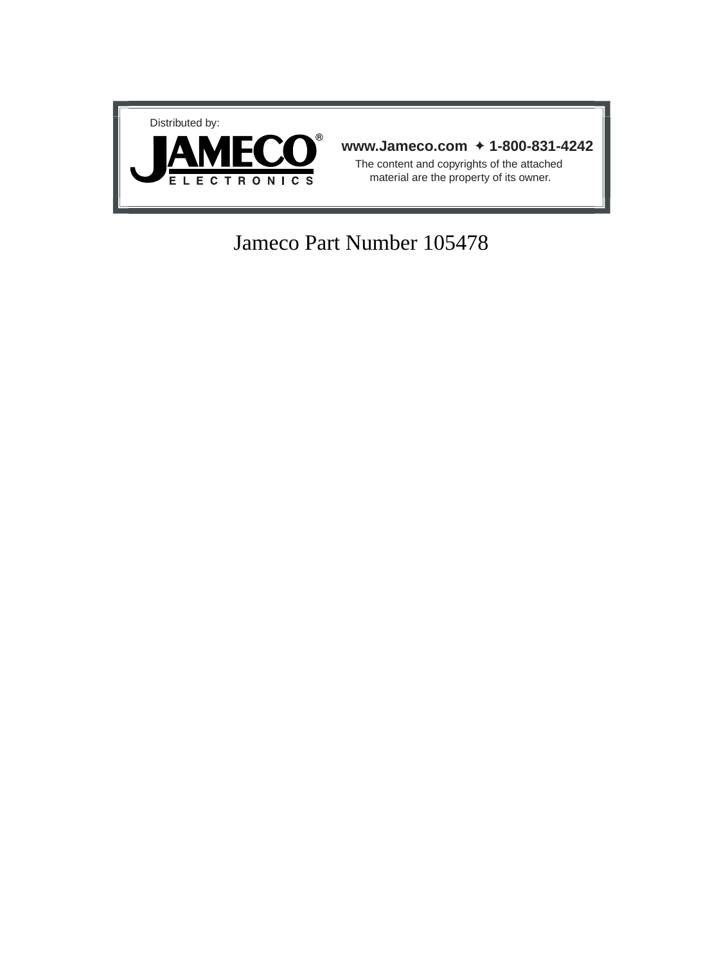

### Jameco Part Number 105478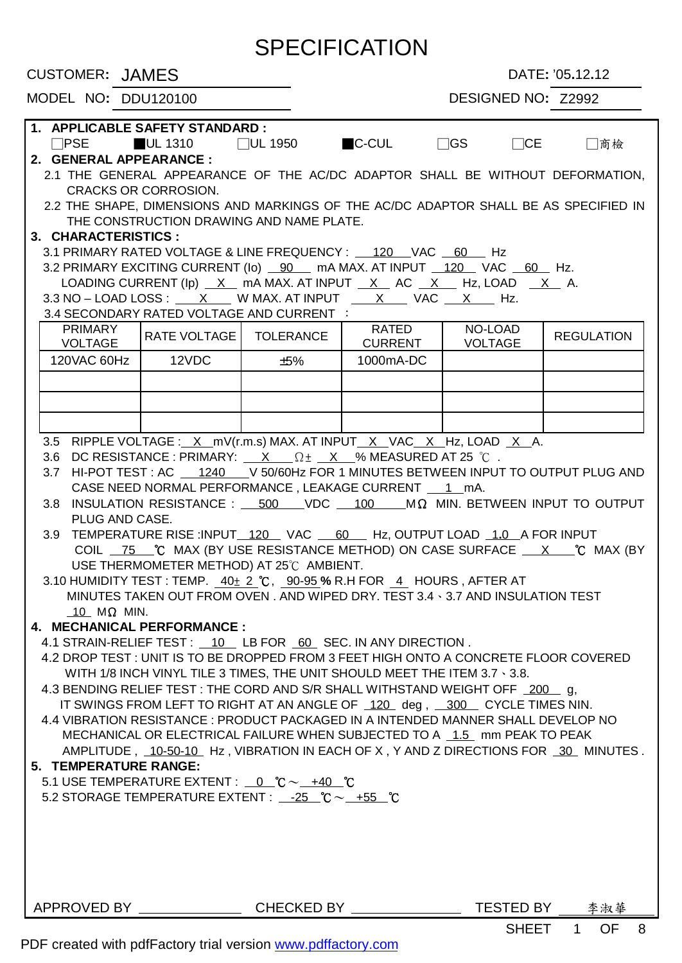## **SPECIFICATION**

**CUSTOMER:** JAMES DATE: '05.12.12

|  | MODEL NO: DDU120100 |
|--|---------------------|

#### DESIGNED NO: Z2992

| 1. APPLICABLE SAFETY STANDARD :                                                                                                                            |                                                                           |                                                                                                                                              |                     |                         |                           |                                                                                                                        |  |
|------------------------------------------------------------------------------------------------------------------------------------------------------------|---------------------------------------------------------------------------|----------------------------------------------------------------------------------------------------------------------------------------------|---------------------|-------------------------|---------------------------|------------------------------------------------------------------------------------------------------------------------|--|
|                                                                                                                                                            |                                                                           |                                                                                                                                              |                     |                         |                           |                                                                                                                        |  |
|                                                                                                                                                            | 2. GENERAL APPEARANCE :                                                   |                                                                                                                                              |                     |                         |                           |                                                                                                                        |  |
|                                                                                                                                                            |                                                                           | <b>CRACKS OR CORROSION.</b>                                                                                                                  |                     |                         |                           | 2.1 THE GENERAL APPEARANCE OF THE AC/DC ADAPTOR SHALL BE WITHOUT DEFORMATION,                                          |  |
|                                                                                                                                                            |                                                                           |                                                                                                                                              |                     |                         |                           | 2.2 THE SHAPE, DIMENSIONS AND MARKINGS OF THE AC/DC ADAPTOR SHALL BE AS SPECIFIED IN                                   |  |
|                                                                                                                                                            |                                                                           | THE CONSTRUCTION DRAWING AND NAME PLATE.                                                                                                     |                     |                         |                           |                                                                                                                        |  |
|                                                                                                                                                            | 3. CHARACTERISTICS:                                                       |                                                                                                                                              |                     |                         |                           |                                                                                                                        |  |
|                                                                                                                                                            |                                                                           | 3.1 PRIMARY RATED VOLTAGE & LINE FREQUENCY: 120 VAC 60 Hz                                                                                    |                     |                         |                           |                                                                                                                        |  |
|                                                                                                                                                            |                                                                           | 3.2 PRIMARY EXCITING CURRENT (Io) __ 90 __ mA MAX. AT INPUT __ 120 __ VAC __ 60 __ Hz.                                                       |                     |                         |                           |                                                                                                                        |  |
|                                                                                                                                                            |                                                                           | LOADING CURRENT (Ip) $X$ mA MAX. AT INPUT $X$ AC $X$ Hz, LOAD $X$ A.                                                                         |                     |                         |                           |                                                                                                                        |  |
|                                                                                                                                                            |                                                                           | $3.3$ NO - LOAD LOSS : $X$ W MAX. AT INPUT $X$ VAC $X$ Hz.                                                                                   |                     |                         |                           |                                                                                                                        |  |
|                                                                                                                                                            |                                                                           | 3.4 SECONDARY RATED VOLTAGE AND CURRENT :                                                                                                    |                     |                         |                           |                                                                                                                        |  |
|                                                                                                                                                            | PRIMARY<br><b>VOLTAGE</b>                                                 | <b>RATE VOLTAGE</b>                                                                                                                          | <b>TOLERANCE</b>    | RATED<br><b>CURRENT</b> | NO-LOAD<br><b>VOLTAGE</b> | <b>REGULATION</b>                                                                                                      |  |
|                                                                                                                                                            | 120VAC 60Hz                                                               | 12VDC                                                                                                                                        | ±5%                 | 1000mA-DC               |                           |                                                                                                                        |  |
|                                                                                                                                                            |                                                                           |                                                                                                                                              |                     |                         |                           |                                                                                                                        |  |
|                                                                                                                                                            |                                                                           |                                                                                                                                              |                     |                         |                           |                                                                                                                        |  |
|                                                                                                                                                            |                                                                           |                                                                                                                                              |                     |                         |                           |                                                                                                                        |  |
|                                                                                                                                                            |                                                                           |                                                                                                                                              |                     |                         |                           |                                                                                                                        |  |
|                                                                                                                                                            |                                                                           |                                                                                                                                              |                     |                         |                           |                                                                                                                        |  |
|                                                                                                                                                            |                                                                           | 3.5 RIPPLE VOLTAGE : X mV(r.m.s) MAX. AT INPUT X VAC X Hz, LOAD X A.<br>3.6 DC RESISTANCE : PRIMARY: $X = \Omega t - X$ % MEASURED AT 25 °C. |                     |                         |                           |                                                                                                                        |  |
|                                                                                                                                                            |                                                                           |                                                                                                                                              |                     |                         |                           | 3.7 HI-POT TEST : AC _ 1240 V 50/60Hz FOR 1 MINUTES BETWEEN INPUT TO OUTPUT PLUG AND                                   |  |
|                                                                                                                                                            |                                                                           | CASE NEED NORMAL PERFORMANCE, LEAKAGE CURRENT 1 __ 1 _ mA.                                                                                   |                     |                         |                           |                                                                                                                        |  |
|                                                                                                                                                            | 3.8                                                                       |                                                                                                                                              |                     |                         |                           | INSULATION RESISTANCE : $\underline{\hspace{1cm}}$ 500 VDC $\underline{\hspace{1cm}}$ 100 MIN. BETWEEN INPUT TO OUTPUT |  |
|                                                                                                                                                            | PLUG AND CASE.                                                            |                                                                                                                                              |                     |                         |                           |                                                                                                                        |  |
|                                                                                                                                                            | 3.9                                                                       | TEMPERATURE RISE :INPUT_120_VAC _60_ Hz, OUTPUT LOAD _1.0_A FOR INPUT                                                                        |                     |                         |                           |                                                                                                                        |  |
|                                                                                                                                                            |                                                                           |                                                                                                                                              |                     |                         |                           | COIL _75 ___ °C MAX (BY USE RESISTANCE METHOD) ON CASE SURFACE ___ X_____ °C MAX (BY                                   |  |
|                                                                                                                                                            |                                                                           | USE THERMOMETER METHOD) AT 25°C AMBIENT.                                                                                                     |                     |                         |                           |                                                                                                                        |  |
|                                                                                                                                                            |                                                                           | 3.10 HUMIDITY TEST : TEMP. $40\pm 2$ °C, 90-95 % R.H FOR 4 HOURS, AFTER AT                                                                   |                     |                         |                           |                                                                                                                        |  |
|                                                                                                                                                            |                                                                           | MINUTES TAKEN OUT FROM OVEN. AND WIPED DRY. TEST 3.4 \ 3.7 AND INSULATION TEST                                                               |                     |                         |                           |                                                                                                                        |  |
|                                                                                                                                                            | 10 $M\Omega$ MIN.                                                         |                                                                                                                                              |                     |                         |                           |                                                                                                                        |  |
|                                                                                                                                                            |                                                                           | 4. MECHANICAL PERFORMANCE :                                                                                                                  |                     |                         |                           |                                                                                                                        |  |
|                                                                                                                                                            |                                                                           |                                                                                                                                              |                     |                         |                           |                                                                                                                        |  |
| 4.1 STRAIN-RELIEF TEST: 10 LB FOR 60 SEC. IN ANY DIRECTION.<br>4.2 DROP TEST : UNIT IS TO BE DROPPED FROM 3 FEET HIGH ONTO A CONCRETE FLOOR COVERED        |                                                                           |                                                                                                                                              |                     |                         |                           |                                                                                                                        |  |
|                                                                                                                                                            |                                                                           |                                                                                                                                              |                     |                         |                           |                                                                                                                        |  |
| WITH 1/8 INCH VINYL TILE 3 TIMES, THE UNIT SHOULD MEET THE ITEM 3.7 \ 3.8.<br>4.3 BENDING RELIEF TEST : THE CORD AND S/R SHALL WITHSTAND WEIGHT OFF 200 g, |                                                                           |                                                                                                                                              |                     |                         |                           |                                                                                                                        |  |
|                                                                                                                                                            | IT SWINGS FROM LEFT TO RIGHT AT AN ANGLE OF 120 deg, 300 CYCLE TIMES NIN. |                                                                                                                                              |                     |                         |                           |                                                                                                                        |  |
| 4.4 VIBRATION RESISTANCE : PRODUCT PACKAGED IN A INTENDED MANNER SHALL DEVELOP NO                                                                          |                                                                           |                                                                                                                                              |                     |                         |                           |                                                                                                                        |  |
| MECHANICAL OR ELECTRICAL FAILURE WHEN SUBJECTED TO A 1.5 mm PEAK TO PEAK                                                                                   |                                                                           |                                                                                                                                              |                     |                         |                           |                                                                                                                        |  |
| AMPLITUDE, 10-50-10 Hz, VIBRATION IN EACH OF X, Y AND Z DIRECTIONS FOR 30 MINUTES.                                                                         |                                                                           |                                                                                                                                              |                     |                         |                           |                                                                                                                        |  |
| 5. TEMPERATURE RANGE:                                                                                                                                      |                                                                           |                                                                                                                                              |                     |                         |                           |                                                                                                                        |  |
|                                                                                                                                                            |                                                                           | 5.1 USE TEMPERATURE EXTENT : $0$ $\degree$ C $\sim$ $+40$ $\degree$ C                                                                        |                     |                         |                           |                                                                                                                        |  |
| 5.2 STORAGE TEMPERATURE EXTENT : $-25$ °C $\sim$ +55 °C                                                                                                    |                                                                           |                                                                                                                                              |                     |                         |                           |                                                                                                                        |  |
|                                                                                                                                                            |                                                                           |                                                                                                                                              |                     |                         |                           |                                                                                                                        |  |
|                                                                                                                                                            |                                                                           |                                                                                                                                              |                     |                         |                           |                                                                                                                        |  |
|                                                                                                                                                            |                                                                           |                                                                                                                                              |                     |                         |                           |                                                                                                                        |  |
|                                                                                                                                                            |                                                                           |                                                                                                                                              |                     |                         |                           |                                                                                                                        |  |
|                                                                                                                                                            |                                                                           |                                                                                                                                              |                     |                         |                           |                                                                                                                        |  |
|                                                                                                                                                            |                                                                           |                                                                                                                                              |                     |                         |                           |                                                                                                                        |  |
|                                                                                                                                                            |                                                                           | APPROVED BY ______________                                                                                                                   | CHECKED BY ________ |                         | TESTED BY                 | 李淑華                                                                                                                    |  |

SHEET 1 OF 8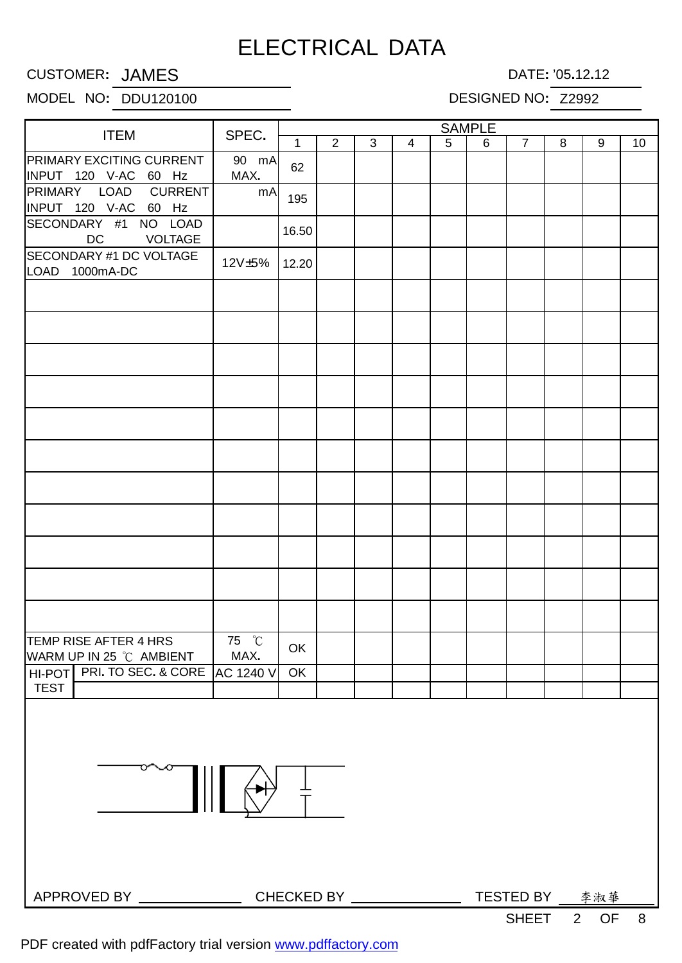## ELECTRICAL DATA

CUSTOMER**:** JAMES DATE**:** '05**.**12**.**12

#### MODEL NO**:** DDU120100 DESIGNED NO**:** Z2992

|                                                         |               | <b>SAMPLE</b> |                |   |                          |   |   |                |   |                 |    |
|---------------------------------------------------------|---------------|---------------|----------------|---|--------------------------|---|---|----------------|---|-----------------|----|
| <b>ITEM</b>                                             | SPEC.         | $\mathbf 1$   | $\overline{2}$ | 3 | $\overline{4}$           | 5 | 6 | $\overline{7}$ | 8 | 9               | 10 |
| <b>PRIMARY EXCITING CURRENT</b><br>INPUT 120 V-AC 60 Hz | 90 mA<br>MAX. | 62            |                |   |                          |   |   |                |   |                 |    |
| PRIMARY LOAD<br><b>CURRENT</b><br>INPUT 120 V-AC 60 Hz  | mA            | 195           |                |   |                          |   |   |                |   |                 |    |
| SECONDARY #1 NO LOAD<br><b>DC</b><br><b>VOLTAGE</b>     |               | 16.50         |                |   |                          |   |   |                |   |                 |    |
| SECONDARY #1 DC VOLTAGE<br>LOAD 1000mA-DC               | 12V±5%        | 12.20         |                |   |                          |   |   |                |   |                 |    |
|                                                         |               |               |                |   |                          |   |   |                |   |                 |    |
|                                                         |               |               |                |   |                          |   |   |                |   |                 |    |
|                                                         |               |               |                |   |                          |   |   |                |   |                 |    |
|                                                         |               |               |                |   |                          |   |   |                |   |                 |    |
|                                                         |               |               |                |   |                          |   |   |                |   |                 |    |
|                                                         |               |               |                |   |                          |   |   |                |   |                 |    |
|                                                         |               |               |                |   |                          |   |   |                |   |                 |    |
|                                                         |               |               |                |   |                          |   |   |                |   |                 |    |
|                                                         |               |               |                |   |                          |   |   |                |   |                 |    |
|                                                         |               |               |                |   |                          |   |   |                |   |                 |    |
| TEMP RISE AFTER 4 HRS<br>WARM UP IN 25 °C AMBIENT       | 75 °C<br>MAX. | OK            |                |   |                          |   |   |                |   |                 |    |
| PRI. TO SEC. & CORE AC 1240 V<br>HI-POT                 |               | OK            |                |   |                          |   |   |                |   |                 |    |
| <b>TEST</b>                                             |               |               |                |   |                          |   |   |                |   |                 |    |
|                                                         |               |               |                |   |                          |   |   |                |   |                 |    |
|                                                         |               |               |                |   | CHECKED BY <b>WAREED</b> |   |   |                |   | TESTED BY _ 李淑華 |    |
|                                                         |               |               |                |   |                          |   |   | <b>SHEET</b>   |   | 2 OF 8          |    |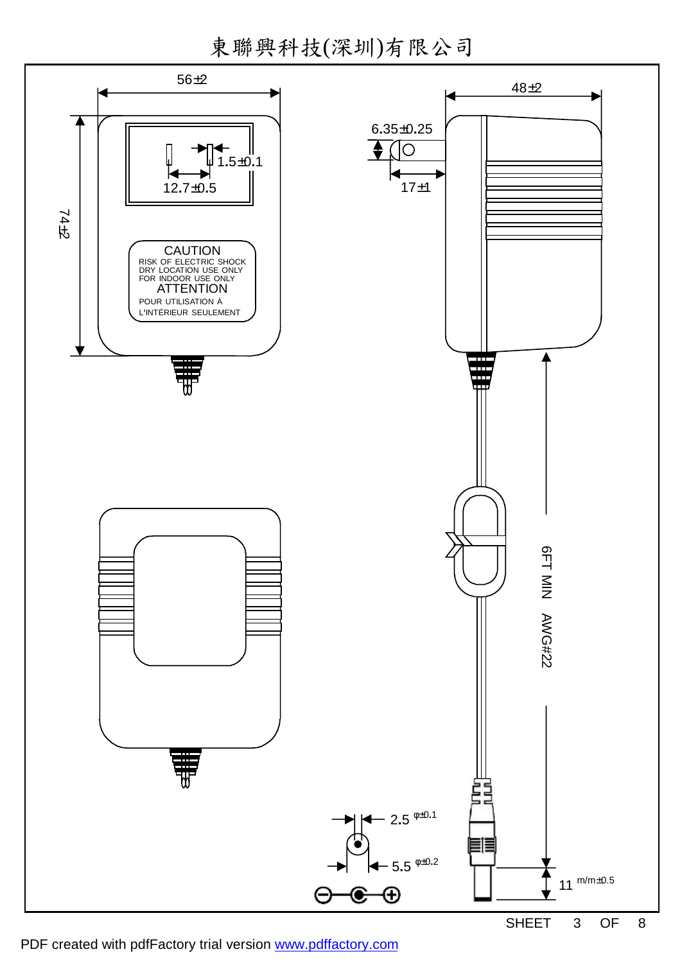東聯興科技(深圳)有限公司

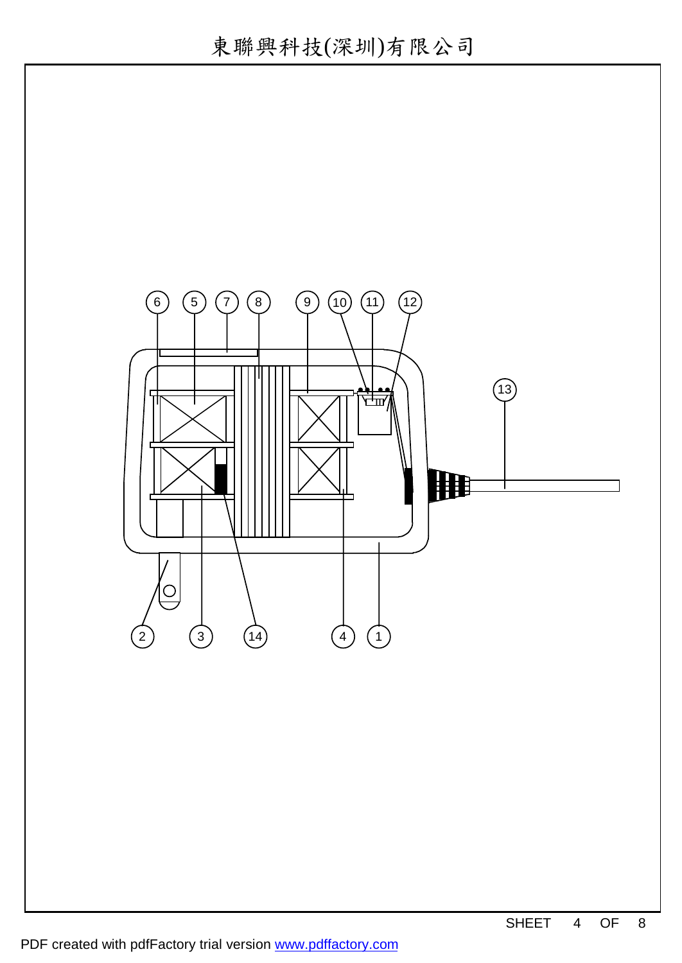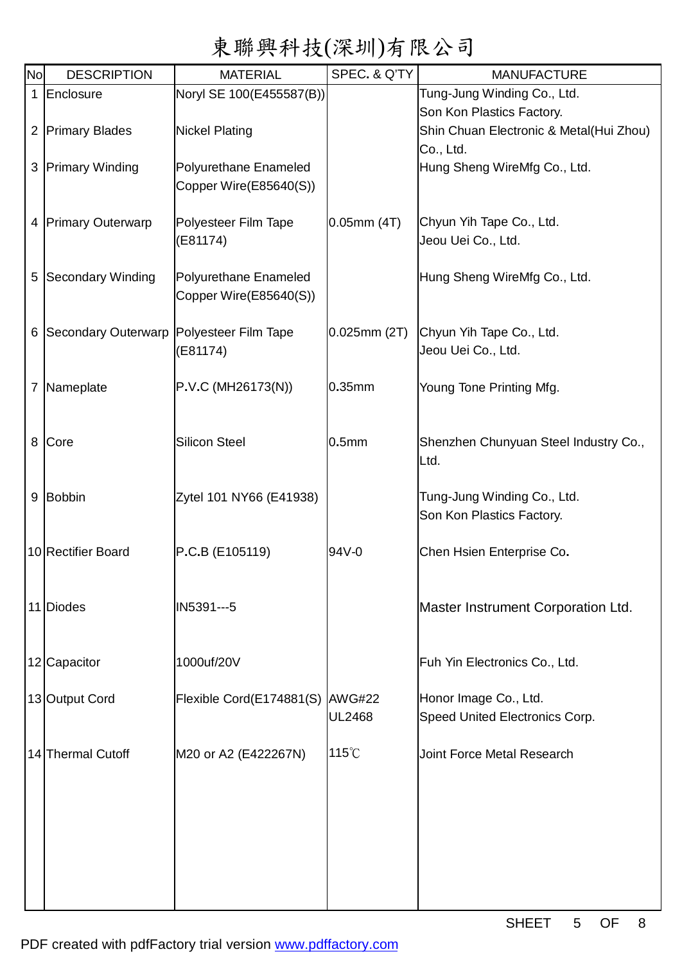# 東聯興科技(深圳)有限公司

| <b>No</b>    | <b>DESCRIPTION</b>                         | <b>MATERIAL</b>                 | SPEC. & Q'TY      | <b>MANUFACTURE</b>                      |
|--------------|--------------------------------------------|---------------------------------|-------------------|-----------------------------------------|
| $\mathbf{1}$ | Enclosure                                  | Noryl SE 100(E455587(B))        |                   | Tung-Jung Winding Co., Ltd.             |
|              |                                            |                                 |                   | Son Kon Plastics Factory.               |
|              | 2 Primary Blades                           | <b>Nickel Plating</b>           |                   | Shin Chuan Electronic & Metal(Hui Zhou) |
|              |                                            |                                 |                   | Co., Ltd.                               |
|              | 3 Primary Winding                          | Polyurethane Enameled           |                   | Hung Sheng WireMfg Co., Ltd.            |
|              |                                            | Copper Wire(E85640(S))          |                   |                                         |
|              |                                            |                                 |                   |                                         |
|              | 4 Primary Outerwarp                        | Polyesteer Film Tape            | $0.05$ mm $(4T)$  | Chyun Yih Tape Co., Ltd.                |
|              |                                            | (E81174)                        |                   | Jeou Uei Co., Ltd.                      |
|              | 5 Secondary Winding                        | Polyurethane Enameled           |                   | Hung Sheng WireMfg Co., Ltd.            |
|              |                                            | Copper Wire(E85640(S))          |                   |                                         |
|              |                                            |                                 |                   |                                         |
|              | 6 Secondary Outerwarp Polyesteer Film Tape |                                 | $0.025$ mm $(2T)$ | Chyun Yih Tape Co., Ltd.                |
|              |                                            | (E81174)                        |                   | Jeou Uei Co., Ltd.                      |
|              |                                            |                                 |                   |                                         |
|              | 7 Nameplate                                | P.V.C (MH26173(N))              | 0.35mm            | Young Tone Printing Mfg.                |
|              |                                            |                                 |                   |                                         |
|              |                                            |                                 |                   |                                         |
| 8            | Core                                       | <b>Silicon Steel</b>            | 0.5 <sub>mm</sub> | Shenzhen Chunyuan Steel Industry Co.,   |
|              |                                            |                                 |                   | Ltd.                                    |
|              |                                            |                                 |                   |                                         |
|              | 9 Bobbin                                   | Zytel 101 NY66 (E41938)         |                   | Tung-Jung Winding Co., Ltd.             |
|              |                                            |                                 |                   | Son Kon Plastics Factory.               |
|              |                                            |                                 |                   |                                         |
|              | 10 Rectifier Board                         | P.C.B (E105119)                 | 94V-0             | Chen Hsien Enterprise Co.               |
|              |                                            |                                 |                   |                                         |
|              |                                            |                                 |                   |                                         |
|              | 11 Diodes                                  | IN5391---5                      |                   | Master Instrument Corporation Ltd.      |
|              |                                            |                                 |                   |                                         |
|              | 12 Capacitor                               | 1000uf/20V                      |                   | Fuh Yin Electronics Co., Ltd.           |
|              |                                            |                                 |                   |                                         |
|              | 13 Output Cord                             | Flexible Cord(E174881(S) AWG#22 |                   | Honor Image Co., Ltd.                   |
|              |                                            |                                 | UL2468            | Speed United Electronics Corp.          |
|              |                                            |                                 |                   |                                         |
|              | 14 Thermal Cutoff                          | M20 or A2 (E422267N)            | $115^{\circ}$ C   | Joint Force Metal Research              |
|              |                                            |                                 |                   |                                         |
|              |                                            |                                 |                   |                                         |
|              |                                            |                                 |                   |                                         |
|              |                                            |                                 |                   |                                         |
|              |                                            |                                 |                   |                                         |
|              |                                            |                                 |                   |                                         |
|              |                                            |                                 |                   |                                         |
|              |                                            |                                 |                   |                                         |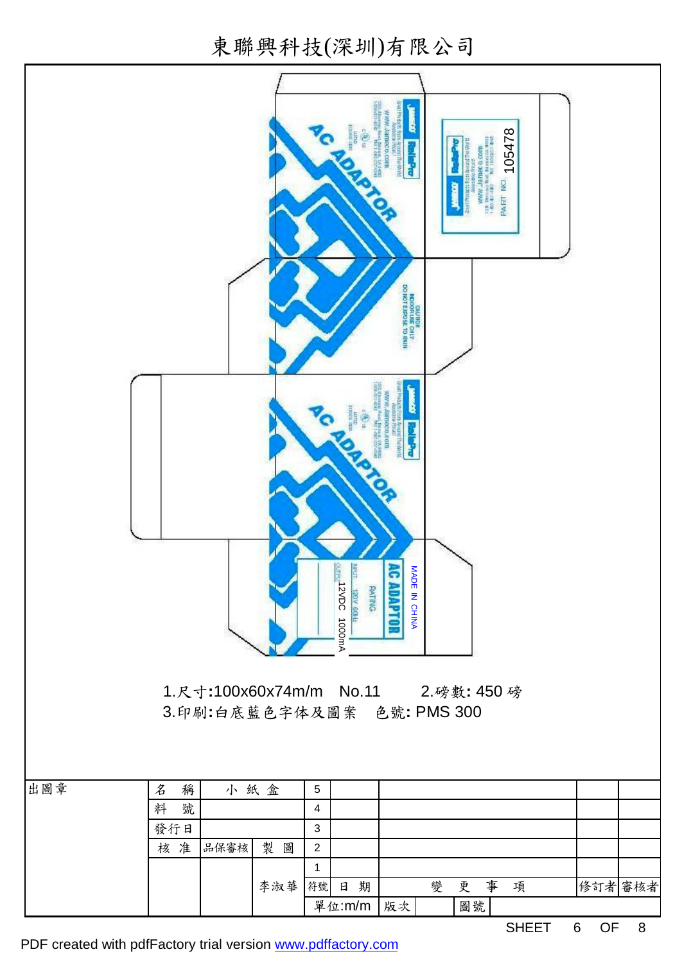東聯興科技(深圳)有限公司



PDF created with pdfFactory trial version [www.pdffactory.com](http://www.pdffactory.com)